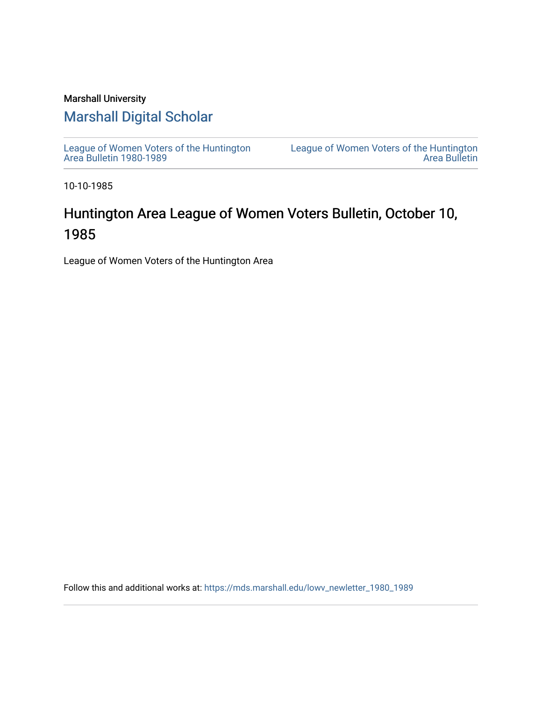### Marshall University

## [Marshall Digital Scholar](https://mds.marshall.edu/)

[League of Women Voters of the Huntington](https://mds.marshall.edu/lowv_newletter_1980_1989) [Area Bulletin 1980-1989](https://mds.marshall.edu/lowv_newletter_1980_1989) 

[League of Women Voters of the Huntington](https://mds.marshall.edu/lowv_newsletter)  [Area Bulletin](https://mds.marshall.edu/lowv_newsletter) 

10-10-1985

## Huntington Area League of Women Voters Bulletin, October 10, 1985

League of Women Voters of the Huntington Area

Follow this and additional works at: [https://mds.marshall.edu/lowv\\_newletter\\_1980\\_1989](https://mds.marshall.edu/lowv_newletter_1980_1989?utm_source=mds.marshall.edu%2Flowv_newletter_1980_1989%2F48&utm_medium=PDF&utm_campaign=PDFCoverPages)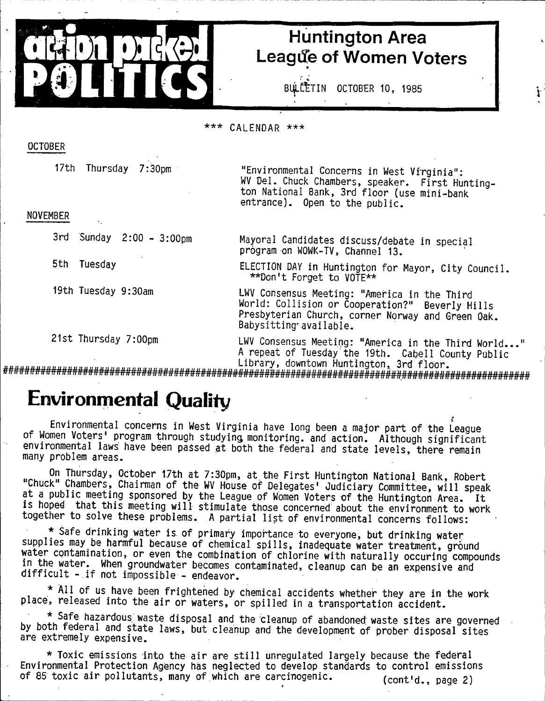

## **Huntington Area League of Women Voters**

\* \* **Bl|.ftTIN OCTOBER 10, 1985**

### **\* \* \* CALENDAR \* \* \***

### **OCTOBER**

| 17th Thursday<br>7:30 <sub>pm</sub><br><b>NOVEMBER</b> | "Environmental Concerns in West Virginia":<br>WV Del. Chuck Chambers, speaker. First Hunting-<br>ton National Bank, 3rd floor (use mini-bank<br>entrance). Open to the public. |
|--------------------------------------------------------|--------------------------------------------------------------------------------------------------------------------------------------------------------------------------------|
| 3rd Sunday 2:00 - 3:00pm                               | Mayoral Candidates discuss/debate in special<br>program on WOWK-TV, Channel 13.                                                                                                |
| 5th<br>Tuesday                                         | ELECTION DAY in Huntington for Mayor, City Council.<br>**Don't Forget to VOTE**                                                                                                |
| 19th Tuesday 9:30am                                    | LWV Consensus Meeting: "America in the Third<br>World: Collision or Cooperation?" Beverly Hills<br>Presbyterian Church, corner Norway and Green Oak.<br>Babysitting available. |
| 21st Thursday 7:00pm                                   | LWV Consensus Meeting: "America in the Third World'<br>A repeat of Tuesday the 19th. Cabell County Public<br>Library, downtown Huntington, 3rd floor.                          |

# **Environmental Quality**

Environmental concerns in West Virginia have long been a major part of the League of Women Voters' program through studying monitoring. and action. Although significant **environmental laws have been passed at both the federal and state levels, there remain many problem areas.**

On Thursday, October 17th at 7:30pm, at the First Huntington National Bank, Robert "Chuck" Chambers, Chairman of the WV House of Delegates' Judiciary Committee, will speak at a public meeting sponsored by the League of Women Voters of the Huntington Area. It is hoped that this meeting will stimulate those concerned about the environment to work together to solve these problems. A partial list of environmental concerns follows:

**\* Safe drinking water is. of primary importance to everyone, but drinking water** supplies may be harmful because of chemical spills, inadequate water treatment, ground **water contamination, or even the combination of chlorine with naturally occuring compounds** in the water. When groundwater becomes contaminated, cleanup can be an expensive and difficult - if not impossible - endeavor.

**\* A ll of us have been frightened by chemical accidents whether they are in the work** place, released into the air or waters, or spilled in a transportation accident.

\* Safe hazardous waste disposal and the cleanup of abandoned waste sites are governed **by both federal and state laws, but cleanup and the development of prober disposal sites are extremely expensive.** *k k k k k <b>c c k k k k k k k k k k k k k k k k k k k k k k k k k*

\* Toxic emissions into the air are still unregulated largely because the federal **Environmental Protection Agency has neglected to develop standards to control emissions** of 85 toxic air pollutants, many of which are carcinogenic. (cont'd., page 2)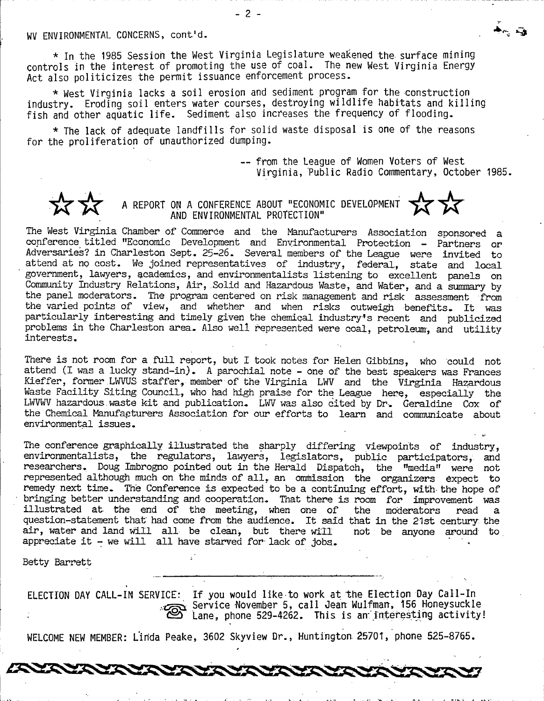\* In the 1985 Session the West Virginia Legislature weakened the surface mining controls in the interest of promoting the use of coal. The new West Virginia Energy Act also politicizes the permit issuance enforcement process.

\* West Virginia lacks a soil erosion and sediment program for the construction industry. Eroding soil enters water courses, destroying wildlife habitats and killing fish and other aquatic life. Sediment also increases the frequency of flooding.

\* The lack of adequate landfills for solid waste disposal is one of the reasons for the proliferation of unauthorized dumping.

> **— from the League of Women Voters of West** Virginia, Public Radio Commentary, October 1985.



**A REPORT ON A CONFERENCE ABOUT "ECONOMIC DEVELOPMENT**  $\stackrel{\frown}{\mathbf{x}}$   $\stackrel{\frown}{\mathbf{x}}$ **AND ENVIRONMENTAL PROTECTION"**

The West Virginia Chamber of Commerce and the Manufacturers Association sponsored a **conference titled "Economic Development and Environmental Protection - Partners or Adversaries? in Charleston Sept. 25-26. Several members of the League were invited to attend at no cost. We joined representatives of industry, federal, state and local government, lawyers, academics, and environmentalists listening to excellent panels on Community Industry Relations, Air, Solid and Hazardous Waste, and Water, and a summary by the panel moderators. The program centered on risk management and risk assessment from the varied points of view, and whether and when risks outweigh benefits. It was particularly interesting and timely given the chemical industry's recent and publicized** problems in the Charleston area. Also well represented were coal, petroleum, and utility **interests.**

**There is not room for a full report, but I took notes for Helen Gibbins, who could not attend (I was a lucky stand-in}. A parochial note - one of the best speakers was Frances** Kieffer, former LWVUS staffer, member of the Virginia LWV and the Virginia Hazardous Waste Facility Siting Council, who had high praise for the League here, especially the **LWVWV hazardous, waste kit and publication. LWV was also cited by Dr-. Geraldine Cox of the Chemical Manufacturers Association for our efforts to learn and communicate about environmental issues.**

**The conference graphically illustrated the sharply differing viewpoints of industry,** environmentalists, the regulators, lawyers, legislators, public participators, and **researchers. Doug Imbrogno pointed out in the Herald Dispatch, the "media" were not represented although much on the minds of all, an ommission the organizers expect to remedy next time. The Conference is expected to be a continuing effort, with- the hope of bringing better understanding and cooperation. That there is room for improvement was illustrated at- the end of the meeting, when one of the moderators read a question-statement that had come from the audience. It said that in the 21st century: the** air, water and land will all be clean, but there will **appreciate it - we will all have starved for- lack of jobs.**

**Betty Barrett**

ELECTION DAY CALL-IN SERVICE: If you would like to work at the Election Day Call-In **Service fJovember 5, c a ll Jean Wulfman, 156 Honeysuckle**  $\sum$  Lane, phone 529-4262. This is an interesting activity

WELCOME NEW MEMBER: Linda Peake, 3602 Skyview Dr., Huntington 25701, phone 525-8765.

**AYAYAYAYAYAYA**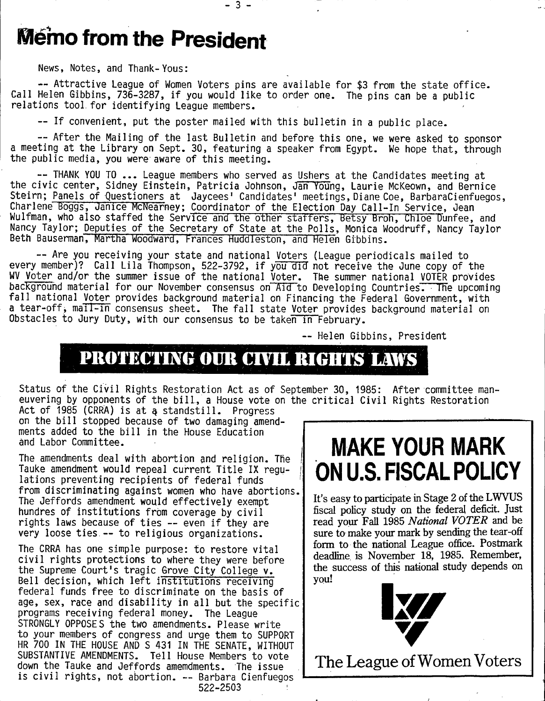# **Memo from the President**

**News, Notes, and Thank-Yous:**

-- Attractive League of Women Voters pins are available for \$3 from the state office. Call Helen Gibbins, 736-3287, if you would like to order one. The pins can be a public relations tool for identifying League members.

-- If convenient, put the poster mailed with this bulletin in a public place.

- **3** -

-- After the Mailing of the last Bulletin and before this one, we were asked to sponsor a meeting at the Library on Sept. 30, featuring a speaker from Egypt. We hope that, through the public media, you were aware of this meeting.

**— THANK YOU TO . . . League members who served as Ushers at the Candidates meeting at** the civic center, Sidney Einstein, Patricia Johnson, Jan Young, Laurie McKeown, and Bernice **Steirn; Panels of Questioners at Jaycees' Candidates' meetings, Diane Coe, BarbaraCienfuegos, Charlene Boggs, Janice McNearney; Coordinator of the Election Day C a ll-In Service, Jean** Wulfman, who also staffed the Service and the other staffers, Betsy Broh, Chloe Dunfee, and Nancy Taylor; Deputies of the Secretary of State at the Polls, Monica Woodruff, Nancy Taylor **Beth Bauserman, Martha Woodward, Frances Huddleston, and Helen Gibbins.**

**— Are you receiving your state and national Voters (League periodicals mailed to** every member)? Call Lila Thompson, 522-3792, if you did not receive the June copy of the **WV Voter and/or the summer issue of the national Voter. The summer national VOTER provides** background material for our November consensus on Aid to Developing Countries. The upcoming fall national Voter provides background material on Financing the Federal Government, with a tear-off, mail-in consensus sheet. The fall state Voter provides background material on **Obstacles to Jury Duty, with our consensus to be taken in February.**

 $-$  Helen Gibbins, President

# **PROTECTING OUR CIVIL RIGHTS LAWS**

Status of the Civil Rights Restoration Act as of September 30, 1985: After committee maneuvering by opponents of the bill, a House vote on the critical Civil Rights Restoration

Act of 1985 (CRRA) is at a standstill. Progress **on the b ill stopped because of two damaging amend**ments added to the bill in the House Education **and Labor Committee.**

The amendments deal with abortion and religion. The Tauke amendment would repeal current Title IX requ**lations preventing recipients of federal funds** from discriminating against women who have abortions. The Jeffords amendment would effectively exempt hundres of institutions from coverage by civil rights laws because of ties -- even if they are very loose ties -- to religious organizations.

The CRRA has one simple purpose: to restore vital **c iv il rights protections to where they were before** the Supreme Court's tragic Grove City College v. Bell decision, which left institutions receiving federal funds free to discriminate on the basis of age, sex, race and disability in all but the specific<sup>1</sup> **programs receiving federal money. The League** STRONGLY OPPOSES the two amendments. Please write **to your members of congress and urge them to SUPPORT HR 700 IN THE HOUSE AND S 431 IN THE SENATE, WITHOUT** SUBSTANTIVE AMENDMENTS. Tell House Members to vote **down the Tauke and Jeffords amemdments. The issue** is civil rights, not abortion. -- Barbara Cienfuegos **522-2503 ;**

# MAKE YOUR MARK ON U.S. FISCAL POLICY

**It's easy to participate in Stage 2 of the LW VUS fiscal policy study on the federal deficit. Just read your Fall 1985** *National VOTER* **and be sure to make your mark by sending the tear-off form to the national League office. Postmark deadline, is November 18, 1985. Remember, the success of this national study depends on** you!

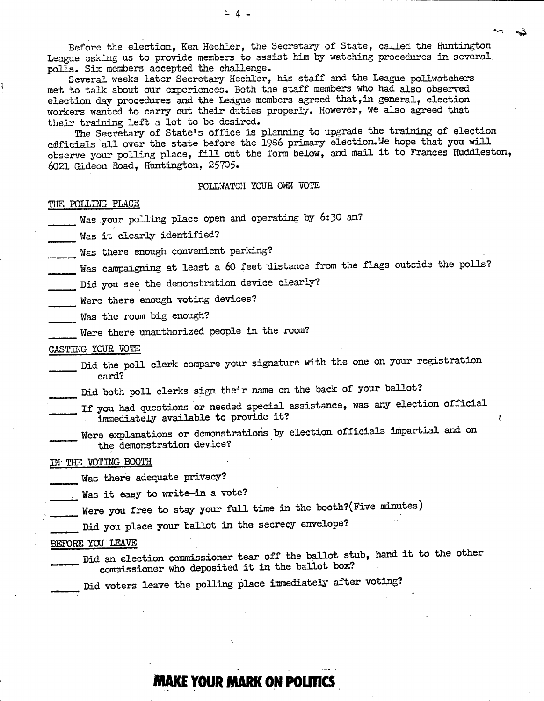**Before the election, Ken Hechler, the Secretary of State, called the Huntington League asking us to provide members to assist him by watching procedures in several, polls. Six members accepted the challenge.**

**Several weeks later Secretary Hechler, his staff and the League pollwatchers met to talk about our experiences. Both the staff members who had also observed election day procedures and the Ledgue members agreed that,in general, election workers wanted to carry out their duties properly. However, we also agreed that their training left a lot to be desired.**

**The Secretary of State's office is planning to upgrade the training of election** coficials all over the state before the 1986 primary election. We hope that you will observe your polling place, fill out the form below, and mail it to Frances Huddleston, **6021 Gideon Hoad, Htintington, 25705.**

**POLLNATCH YOUR OViN VOTE**

#### **THE POLLING PLACE**

**\_\_\_\_\_Was .your polling place open and operating ly 6:30 am?**

**\_\_\_\_\_ Was it clearly identified?**

- **\_\_\_\_\_ Was there enough convenient parking?**
- Was campaigning at least a 60 feet distance from the flags outside the polls?
- **\_\_\_\_\_ Did you see the demonstration device clearly?**

**\_\_\_\_\_ Were there enough voting devices?**

**\_\_\_\_\_ Was the room big enough?**

**\_\_\_\_\_ Were there unauthorized people in the room?**

#### **CASTING YOUR VOTE**

Did the poll clerk compare your signature with the one on your registration **card?**

**\_\_\_\_\_ Did both poll clerks sign their name on the back of your ballot?**

- **If you had questions or needed special assistance, was any election official immediately available to provide it?**
	- **Were explanations or demonstrations by election officials impartial and on the demonstration device?**

### **IN- THE TOTING BOOTH**

**\_\_\_\_\_ Was.there adequate privacy?**

**Was it easy to write-in a vote?**

- **Were you free to stay your full time in the booth?(Five minutes)**
	- **\_\_\_\_\_ Did you place your ballot in the secrecy envelope?**

### **BEFORE YOU LEAVE**

- Did an election commissioner tear off the ballot stub, hand it to the other **commissioner who deposited it in the ballot box?**
	- **Did voters leave the polling place immediately after voting?**

## **MAKE YOUR MARK ON POLITICS**